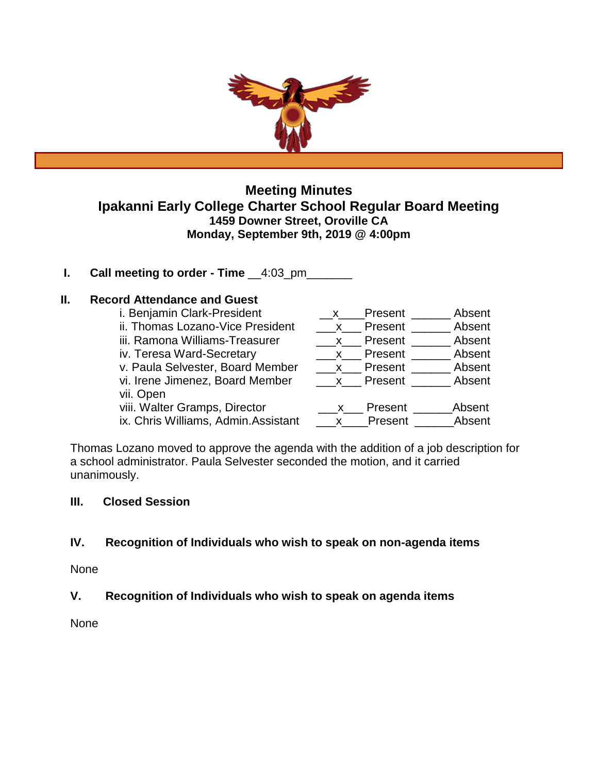

# **Meeting Minutes Ipakanni Early College Charter School Regular Board Meeting 1459 Downer Street, Oroville CA Monday, September 9th, 2019 @ 4:00pm**

**I.** Call meeting to order - Time  $\_\_4:03\_pm$ 

# **II. Record Attendance and Guest**

| i. Benjamin Clark-President         | $\mathsf{X}$ | Present   | Absent |
|-------------------------------------|--------------|-----------|--------|
| ii. Thomas Lozano-Vice President    | $\mathbf{X}$ | Present   | Absent |
| iii. Ramona Williams-Treasurer      | $\mathsf{X}$ | Present   | Absent |
| iv. Teresa Ward-Secretary           |              | x Present | Absent |
| v. Paula Selvester, Board Member    | $X_{-}$      | Present   | Absent |
| vi. Irene Jimenez, Board Member     | $\mathsf{X}$ | Present   | Absent |
| vii. Open                           |              |           |        |
| viii. Walter Gramps, Director       | X.           | Present   | Absent |
| ix. Chris Williams, Admin.Assistant | $\mathsf{X}$ | Present   | Absent |

Thomas Lozano moved to approve the agenda with the addition of a job description for a school administrator. Paula Selvester seconded the motion, and it carried unanimously.

# **III. Closed Session**

# **IV. Recognition of Individuals who wish to speak on non-agenda items**

None

# **V. Recognition of Individuals who wish to speak on agenda items**

None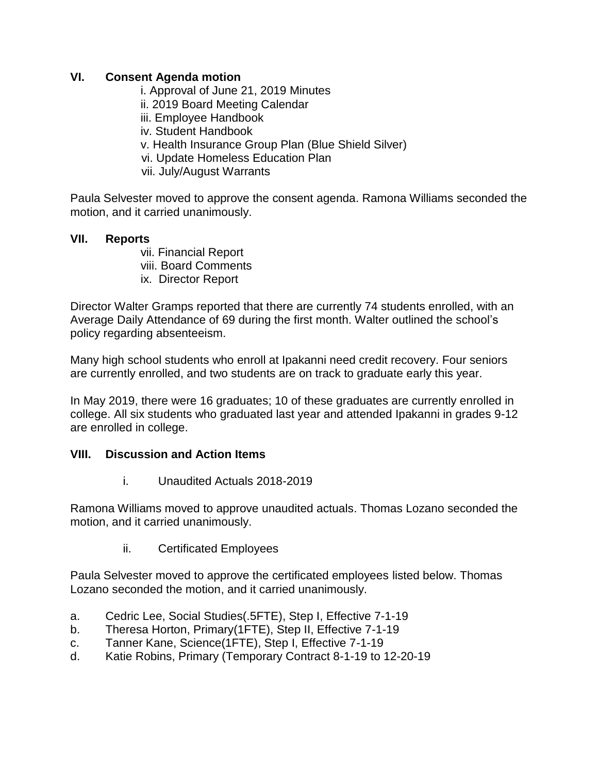# **VI. Consent Agenda motion**

i. Approval of June 21, 2019 Minutes ii. 2019 Board Meeting Calendar iii. Employee Handbook iv. Student Handbook v. Health Insurance Group Plan (Blue Shield Silver) vi. Update Homeless Education Plan vii. July/August Warrants

Paula Selvester moved to approve the consent agenda. Ramona Williams seconded the motion, and it carried unanimously.

# **VII. Reports**

vii. Financial Report viii. Board Comments ix. Director Report

Director Walter Gramps reported that there are currently 74 students enrolled, with an Average Daily Attendance of 69 during the first month. Walter outlined the school's policy regarding absenteeism.

Many high school students who enroll at Ipakanni need credit recovery. Four seniors are currently enrolled, and two students are on track to graduate early this year.

In May 2019, there were 16 graduates; 10 of these graduates are currently enrolled in college. All six students who graduated last year and attended Ipakanni in grades 9-12 are enrolled in college.

## **VIII. Discussion and Action Items**

i. Unaudited Actuals 2018-2019

Ramona Williams moved to approve unaudited actuals. Thomas Lozano seconded the motion, and it carried unanimously.

ii. Certificated Employees

Paula Selvester moved to approve the certificated employees listed below. Thomas Lozano seconded the motion, and it carried unanimously.

- a. Cedric Lee, Social Studies(.5FTE), Step I, Effective 7-1-19
- b. Theresa Horton, Primary(1FTE), Step II, Effective 7-1-19
- c. Tanner Kane, Science(1FTE), Step I, Effective 7-1-19
- d. Katie Robins, Primary (Temporary Contract 8-1-19 to 12-20-19